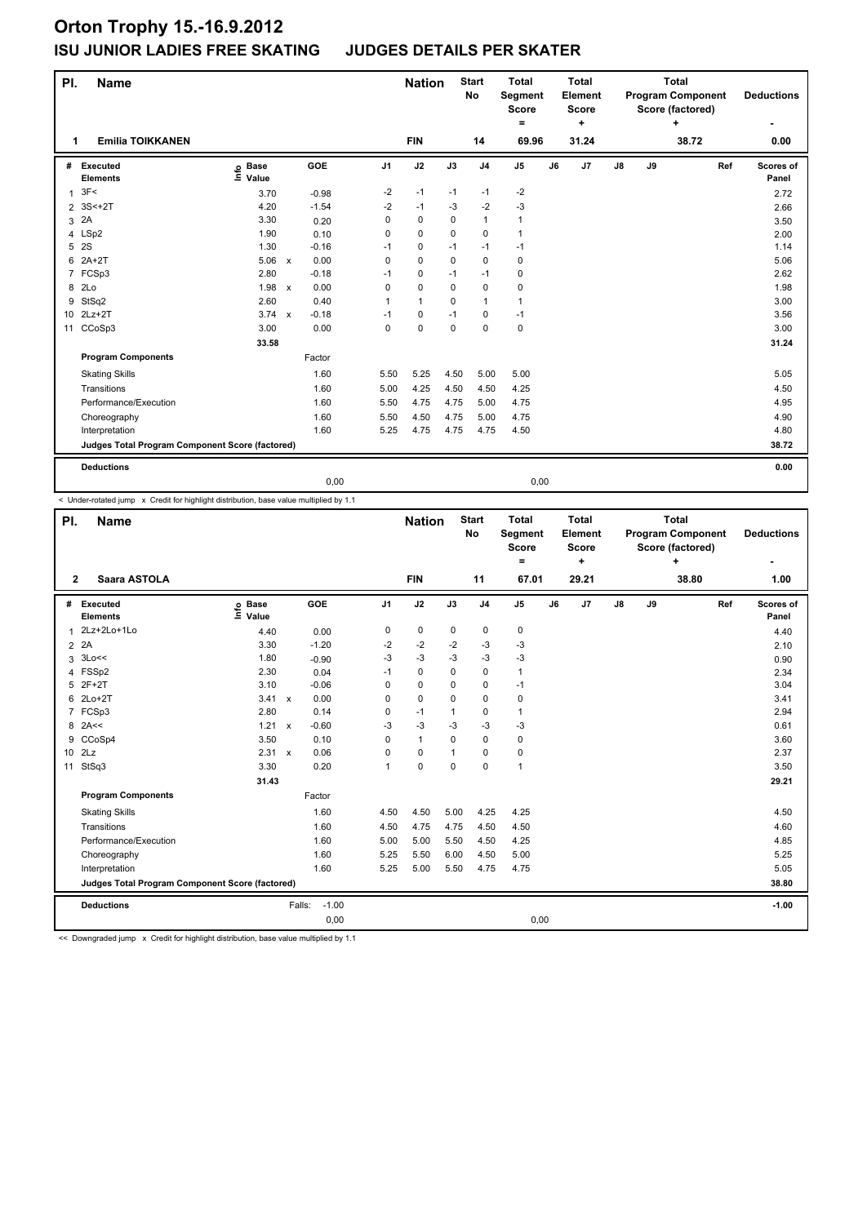| PI.             | <b>Name</b>                                     |                              |              |         |                | <b>Nation</b> |             | <b>Start</b><br>No | <b>Total</b><br>Segment<br><b>Score</b><br>= |    | <b>Total</b><br>Element<br><b>Score</b><br>٠ |               |    | <b>Total</b><br><b>Program Component</b><br>Score (factored)<br>÷ |     | <b>Deductions</b>  |
|-----------------|-------------------------------------------------|------------------------------|--------------|---------|----------------|---------------|-------------|--------------------|----------------------------------------------|----|----------------------------------------------|---------------|----|-------------------------------------------------------------------|-----|--------------------|
| 1               | <b>Emilia TOIKKANEN</b>                         |                              |              |         |                | <b>FIN</b>    |             | 14                 | 69.96                                        |    | 31.24                                        |               |    | 38.72                                                             |     | 0.00               |
| #               | Executed<br><b>Elements</b>                     | <b>Base</b><br>١nfo<br>Value |              | GOE     | J <sub>1</sub> | J2            | J3          | J <sub>4</sub>     | J <sub>5</sub>                               | J6 | J7                                           | $\mathsf{J}8$ | J9 |                                                                   | Ref | Scores of<br>Panel |
| $\mathbf{1}$    | 3F<                                             | 3.70                         |              | $-0.98$ | -2             | $-1$          | $-1$        | $-1$               | $-2$                                         |    |                                              |               |    |                                                                   |     | 2.72               |
| $\overline{2}$  | $3S<+2T$                                        | 4.20                         |              | $-1.54$ | $-2$           | $-1$          | $-3$        | $-2$               | $-3$                                         |    |                                              |               |    |                                                                   |     | 2.66               |
| 3               | 2A                                              | 3.30                         |              | 0.20    | 0              | $\pmb{0}$     | 0           | $\mathbf{1}$       | 1                                            |    |                                              |               |    |                                                                   |     | 3.50               |
|                 | 4 LSp2                                          | 1.90                         |              | 0.10    | 0              | $\mathbf 0$   | $\Omega$    | $\mathbf 0$        | 1                                            |    |                                              |               |    |                                                                   |     | 2.00               |
| 5               | 2S                                              | 1.30                         |              | $-0.16$ | $-1$           | 0             | $-1$        | $-1$               | $-1$                                         |    |                                              |               |    |                                                                   |     | 1.14               |
| 6               | $2A+2T$                                         | 5.06                         | $\mathsf{x}$ | 0.00    | 0              | $\mathbf 0$   | $\mathbf 0$ | $\mathbf 0$        | $\mathbf 0$                                  |    |                                              |               |    |                                                                   |     | 5.06               |
| 7               | FCSp3                                           | 2.80                         |              | $-0.18$ | $-1$           | $\mathbf 0$   | $-1$        | $-1$               | 0                                            |    |                                              |               |    |                                                                   |     | 2.62               |
| 8               | 2Lo                                             | 1.98                         | $\mathsf{x}$ | 0.00    | 0              | $\pmb{0}$     | 0           | $\pmb{0}$          | 0                                            |    |                                              |               |    |                                                                   |     | 1.98               |
| 9               | StSq2                                           | 2.60                         |              | 0.40    | 1              | $\mathbf{1}$  | $\Omega$    | $\mathbf{1}$       | 1                                            |    |                                              |               |    |                                                                   |     | 3.00               |
| 10 <sup>1</sup> | $2Lz+2T$                                        | $3.74 \times$                |              | $-0.18$ | $-1$           | $\mathbf 0$   | $-1$        | $\mathbf 0$        | $-1$                                         |    |                                              |               |    |                                                                   |     | 3.56               |
| 11              | CCoSp3                                          | 3.00                         |              | 0.00    | $\mathbf 0$    | $\mathbf 0$   | $\mathbf 0$ | $\mathbf 0$        | $\mathbf 0$                                  |    |                                              |               |    |                                                                   |     | 3.00               |
|                 |                                                 | 33.58                        |              |         |                |               |             |                    |                                              |    |                                              |               |    |                                                                   |     | 31.24              |
|                 | <b>Program Components</b>                       |                              |              | Factor  |                |               |             |                    |                                              |    |                                              |               |    |                                                                   |     |                    |
|                 | <b>Skating Skills</b>                           |                              |              | 1.60    | 5.50           | 5.25          | 4.50        | 5.00               | 5.00                                         |    |                                              |               |    |                                                                   |     | 5.05               |
|                 | Transitions                                     |                              |              | 1.60    | 5.00           | 4.25          | 4.50        | 4.50               | 4.25                                         |    |                                              |               |    |                                                                   |     | 4.50               |
|                 | Performance/Execution                           |                              |              | 1.60    | 5.50           | 4.75          | 4.75        | 5.00               | 4.75                                         |    |                                              |               |    |                                                                   |     | 4.95               |
|                 | Choreography                                    |                              |              | 1.60    | 5.50           | 4.50          | 4.75        | 5.00               | 4.75                                         |    |                                              |               |    |                                                                   |     | 4.90               |
|                 | Interpretation                                  |                              |              | 1.60    | 5.25           | 4.75          | 4.75        | 4.75               | 4.50                                         |    |                                              |               |    |                                                                   |     | 4.80               |
|                 | Judges Total Program Component Score (factored) |                              |              |         |                |               |             |                    |                                              |    |                                              |               |    |                                                                   |     | 38.72              |
|                 | <b>Deductions</b>                               |                              |              |         |                |               |             |                    |                                              |    |                                              |               |    |                                                                   |     | 0.00               |
|                 |                                                 |                              |              | 0,00    |                |               |             |                    | 0,00                                         |    |                                              |               |    |                                                                   |     |                    |

< Under-rotated jump x Credit for highlight distribution, base value multiplied by 1.1

| PI.            | <b>Name</b>                                     |                                  |                      |                | <b>Nation</b> |             | <b>Start</b><br>No | <b>Total</b><br>Segment<br><b>Score</b><br>$=$ |    | <b>Total</b><br>Element<br><b>Score</b><br>$\ddot{}$ |               |    | <b>Total</b><br><b>Program Component</b><br>Score (factored) |     | <b>Deductions</b>  |
|----------------|-------------------------------------------------|----------------------------------|----------------------|----------------|---------------|-------------|--------------------|------------------------------------------------|----|------------------------------------------------------|---------------|----|--------------------------------------------------------------|-----|--------------------|
| $\overline{2}$ | Saara ASTOLA                                    |                                  |                      |                | <b>FIN</b>    |             | 11                 | 67.01                                          |    | 29.21                                                |               |    | 38.80                                                        |     | 1.00               |
|                | # Executed<br><b>Elements</b>                   | <b>Base</b><br>e Base<br>⊑ Value | GOE                  | J <sub>1</sub> | J2            | J3          | J <sub>4</sub>     | J <sub>5</sub>                                 | J6 | J7                                                   | $\mathsf{J}8$ | J9 |                                                              | Ref | Scores of<br>Panel |
| 1              | 2Lz+2Lo+1Lo                                     | 4.40                             | 0.00                 | 0              | $\mathbf 0$   | $\mathbf 0$ | 0                  | 0                                              |    |                                                      |               |    |                                                              |     | 4.40               |
|                | $2^2$                                           | 3.30                             | $-1.20$              | $-2$           | -2            | $-2$        | $-3$               | $-3$                                           |    |                                                      |               |    |                                                              |     | 2.10               |
| 3              | 3Lo<<                                           | 1.80                             | $-0.90$              | $-3$           | $-3$          | $-3$        | $-3$               | $-3$                                           |    |                                                      |               |    |                                                              |     | 0.90               |
| 4              | FSSp2                                           | 2.30                             | 0.04                 | $-1$           | $\mathbf 0$   | 0           | $\mathbf 0$        | 1                                              |    |                                                      |               |    |                                                              |     | 2.34               |
| 5              | $2F+2T$                                         | 3.10                             | $-0.06$              | 0              | $\mathbf 0$   | 0           | $\mathbf 0$        | $-1$                                           |    |                                                      |               |    |                                                              |     | 3.04               |
| 6              | $2Lo+2T$                                        | 3.41                             | 0.00<br>$\mathsf{x}$ | 0              | $\mathbf 0$   | 0           | $\mathbf 0$        | 0                                              |    |                                                      |               |    |                                                              |     | 3.41               |
| $7^{\circ}$    | FCSp3                                           | 2.80                             | 0.14                 | 0              | $-1$          | 1           | 0                  | 1                                              |    |                                                      |               |    |                                                              |     | 2.94               |
|                | $8$ 2A <<                                       | $1.21 \times$                    | $-0.60$              | $-3$           | $-3$          | $-3$        | $-3$               | $-3$                                           |    |                                                      |               |    |                                                              |     | 0.61               |
| 9              | CCoSp4                                          | 3.50                             | 0.10                 | 0              | $\mathbf{1}$  | 0           | $\mathbf 0$        | 0                                              |    |                                                      |               |    |                                                              |     | 3.60               |
|                | 10 2Lz                                          | 2.31 x                           | 0.06                 | 0              | 0             | $\mathbf 1$ | 0                  | 0                                              |    |                                                      |               |    |                                                              |     | 2.37               |
|                | 11 StSq3                                        | 3.30                             | 0.20                 | 1              | $\mathbf 0$   | $\Omega$    | $\Omega$           | 1                                              |    |                                                      |               |    |                                                              |     | 3.50               |
|                |                                                 | 31.43                            |                      |                |               |             |                    |                                                |    |                                                      |               |    |                                                              |     | 29.21              |
|                | <b>Program Components</b>                       |                                  | Factor               |                |               |             |                    |                                                |    |                                                      |               |    |                                                              |     |                    |
|                | <b>Skating Skills</b>                           |                                  | 1.60                 | 4.50           | 4.50          | 5.00        | 4.25               | 4.25                                           |    |                                                      |               |    |                                                              |     | 4.50               |
|                | Transitions                                     |                                  | 1.60                 | 4.50           | 4.75          | 4.75        | 4.50               | 4.50                                           |    |                                                      |               |    |                                                              |     | 4.60               |
|                | Performance/Execution                           |                                  | 1.60                 | 5.00           | 5.00          | 5.50        | 4.50               | 4.25                                           |    |                                                      |               |    |                                                              |     | 4.85               |
|                | Choreography                                    |                                  | 1.60                 | 5.25           | 5.50          | 6.00        | 4.50               | 5.00                                           |    |                                                      |               |    |                                                              |     | 5.25               |
|                | Interpretation                                  |                                  | 1.60                 | 5.25           | 5.00          | 5.50        | 4.75               | 4.75                                           |    |                                                      |               |    |                                                              |     | 5.05               |
|                | Judges Total Program Component Score (factored) |                                  |                      |                |               |             |                    |                                                |    |                                                      |               |    |                                                              |     | 38.80              |
|                | <b>Deductions</b>                               |                                  | $-1.00$<br>Falls:    |                |               |             |                    |                                                |    |                                                      |               |    |                                                              |     | $-1.00$            |
|                |                                                 |                                  |                      | 0,00           |               |             |                    | 0,00                                           |    |                                                      |               |    |                                                              |     |                    |

<< Downgraded jump x Credit for highlight distribution, base value multiplied by 1.1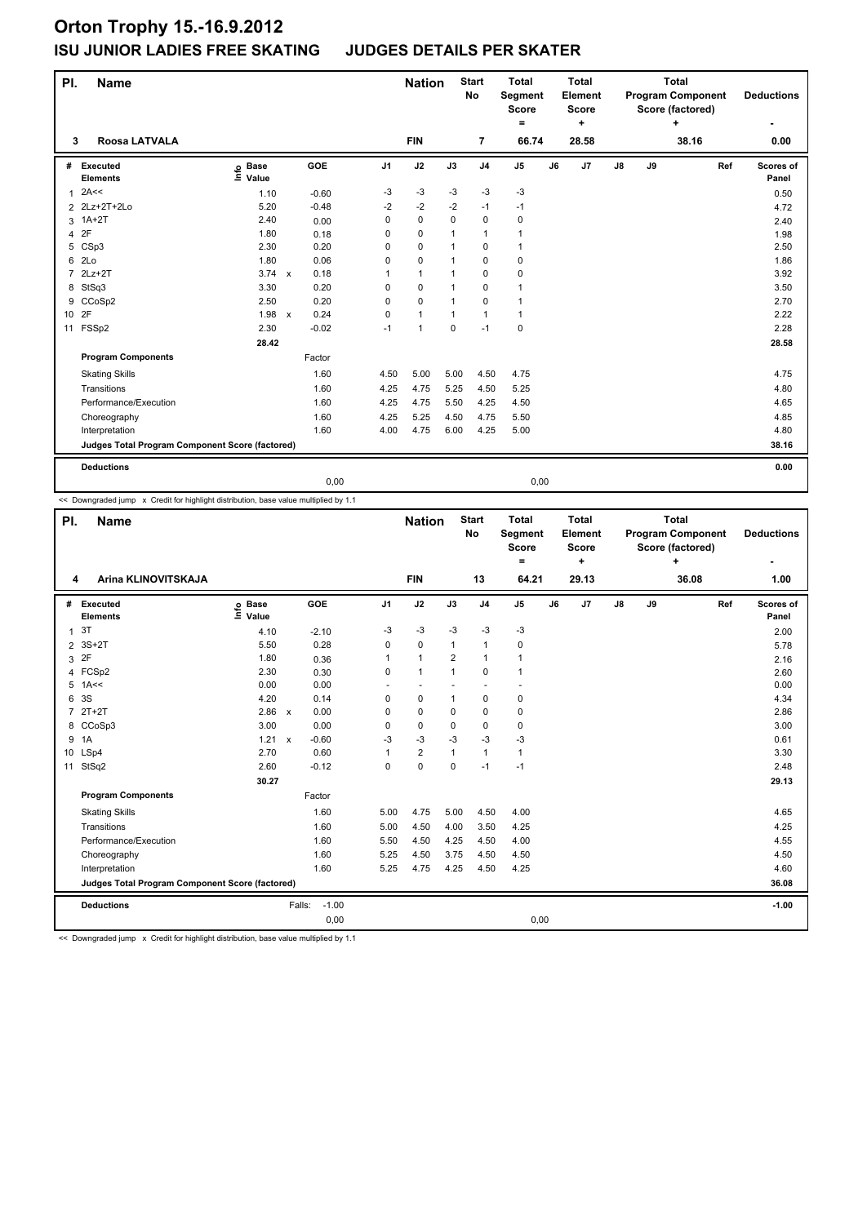| PI.             | <b>Name</b>                                     |                              |              |         |                | <b>Nation</b> |              | <b>Start</b><br>No | <b>Total</b><br>Segment<br><b>Score</b><br>= |    | <b>Total</b><br>Element<br><b>Score</b><br>٠ |               |    | <b>Total</b><br><b>Program Component</b><br>Score (factored)<br>÷ |     | <b>Deductions</b>  |
|-----------------|-------------------------------------------------|------------------------------|--------------|---------|----------------|---------------|--------------|--------------------|----------------------------------------------|----|----------------------------------------------|---------------|----|-------------------------------------------------------------------|-----|--------------------|
| 3               | Roosa LATVALA                                   |                              |              |         |                | <b>FIN</b>    |              | $\overline{7}$     | 66.74                                        |    | 28.58                                        |               |    | 38.16                                                             |     | 0.00               |
| #               | Executed<br><b>Elements</b>                     | <b>Base</b><br>١nfo<br>Value |              | GOE     | J <sub>1</sub> | J2            | J3           | J <sub>4</sub>     | J <sub>5</sub>                               | J6 | J7                                           | $\mathsf{J}8$ | J9 |                                                                   | Ref | Scores of<br>Panel |
| $\mathbf{1}$    | 2A<<                                            | 1.10                         |              | $-0.60$ | -3             | -3            | $-3$         | $-3$               | $-3$                                         |    |                                              |               |    |                                                                   |     | 0.50               |
|                 | 2 2Lz+2T+2Lo                                    | 5.20                         |              | $-0.48$ | $-2$           | $-2$          | $-2$         | $-1$               | $-1$                                         |    |                                              |               |    |                                                                   |     | 4.72               |
| 3               | $1A+2T$                                         | 2.40                         |              | 0.00    | 0              | $\mathbf 0$   | $\mathbf 0$  | $\pmb{0}$          | 0                                            |    |                                              |               |    |                                                                   |     | 2.40               |
| 4               | 2F                                              | 1.80                         |              | 0.18    | 0              | $\mathbf 0$   | $\mathbf 1$  | $\mathbf{1}$       | 1                                            |    |                                              |               |    |                                                                   |     | 1.98               |
| 5               | CSp3                                            | 2.30                         |              | 0.20    | $\Omega$       | $\pmb{0}$     | 1            | 0                  | 1                                            |    |                                              |               |    |                                                                   |     | 2.50               |
| 6               | 2 <sub>LO</sub>                                 | 1.80                         |              | 0.06    | 0              | $\mathbf 0$   | 1            | $\mathbf 0$        | $\mathbf 0$                                  |    |                                              |               |    |                                                                   |     | 1.86               |
| 7               | $2Lz+2T$                                        | $3.74 \times$                |              | 0.18    |                | $\mathbf{1}$  | $\mathbf 1$  | $\mathbf 0$        | $\mathbf 0$                                  |    |                                              |               |    |                                                                   |     | 3.92               |
| 8               | StSq3                                           | 3.30                         |              | 0.20    | 0              | 0             |              | 0                  | 1                                            |    |                                              |               |    |                                                                   |     | 3.50               |
| 9               | CCoSp2                                          | 2.50                         |              | 0.20    | 0              | $\mathbf 0$   | $\mathbf{1}$ | $\mathbf 0$        | 1                                            |    |                                              |               |    |                                                                   |     | 2.70               |
| 10 <sup>1</sup> | 2F                                              | 1.98                         | $\mathbf{x}$ | 0.24    | 0              | $\mathbf{1}$  | 1            | $\mathbf{1}$       | 1                                            |    |                                              |               |    |                                                                   |     | 2.22               |
| 11              | FSSp2                                           | 2.30                         |              | $-0.02$ | $-1$           | 1             | $\mathbf 0$  | $-1$               | $\mathbf 0$                                  |    |                                              |               |    |                                                                   |     | 2.28               |
|                 |                                                 | 28.42                        |              |         |                |               |              |                    |                                              |    |                                              |               |    |                                                                   |     | 28.58              |
|                 | <b>Program Components</b>                       |                              |              | Factor  |                |               |              |                    |                                              |    |                                              |               |    |                                                                   |     |                    |
|                 | <b>Skating Skills</b>                           |                              |              | 1.60    | 4.50           | 5.00          | 5.00         | 4.50               | 4.75                                         |    |                                              |               |    |                                                                   |     | 4.75               |
|                 | Transitions                                     |                              |              | 1.60    | 4.25           | 4.75          | 5.25         | 4.50               | 5.25                                         |    |                                              |               |    |                                                                   |     | 4.80               |
|                 | Performance/Execution                           |                              |              | 1.60    | 4.25           | 4.75          | 5.50         | 4.25               | 4.50                                         |    |                                              |               |    |                                                                   |     | 4.65               |
|                 | Choreography                                    |                              |              | 1.60    | 4.25           | 5.25          | 4.50         | 4.75               | 5.50                                         |    |                                              |               |    |                                                                   |     | 4.85               |
|                 | Interpretation                                  |                              |              | 1.60    | 4.00           | 4.75          | 6.00         | 4.25               | 5.00                                         |    |                                              |               |    |                                                                   |     | 4.80               |
|                 | Judges Total Program Component Score (factored) |                              |              |         |                |               |              |                    |                                              |    |                                              |               |    |                                                                   |     | 38.16              |
|                 | <b>Deductions</b>                               |                              |              |         |                |               |              |                    |                                              |    |                                              |               |    |                                                                   |     | 0.00               |
|                 |                                                 |                              |              | 0,00    |                |               |              |                    | 0,00                                         |    |                                              |               |    |                                                                   |     |                    |

<< Downgraded jump x Credit for highlight distribution, base value multiplied by 1.1

| PI.            | <b>Name</b>                                     |                                  |                         |                | <b>Nation</b>           |                | <b>Start</b><br><b>No</b> | <b>Total</b><br>Segment<br><b>Score</b><br>Ξ. |    | <b>Total</b><br>Element<br><b>Score</b><br>٠ |               |    | <b>Total</b><br><b>Program Component</b><br>Score (factored) |     | <b>Deductions</b>  |
|----------------|-------------------------------------------------|----------------------------------|-------------------------|----------------|-------------------------|----------------|---------------------------|-----------------------------------------------|----|----------------------------------------------|---------------|----|--------------------------------------------------------------|-----|--------------------|
| 4              | Arina KLINOVITSKAJA                             |                                  |                         |                | <b>FIN</b>              |                | 13                        | 64.21                                         |    | 29.13                                        |               |    | 36.08                                                        |     | 1.00               |
| #              | Executed<br><b>Elements</b>                     | <b>Base</b><br>e Base<br>⊑ Value | <b>GOE</b>              | J <sub>1</sub> | J2                      | J3             | J <sub>4</sub>            | J <sub>5</sub>                                | J6 | J <sub>7</sub>                               | $\mathsf{J}8$ | J9 |                                                              | Ref | Scores of<br>Panel |
| $\mathbf{1}$   | 3T                                              | 4.10                             | $-2.10$                 | $-3$           | $-3$                    | $-3$           | $-3$                      | $-3$                                          |    |                                              |               |    |                                                              |     | 2.00               |
|                | 2 3S+2T                                         | 5.50                             | 0.28                    | 0              | 0                       | $\mathbf{1}$   | $\mathbf{1}$              | 0                                             |    |                                              |               |    |                                                              |     | 5.78               |
| 3              | 2F                                              | 1.80                             | 0.36                    | 1              | $\mathbf{1}$            | $\overline{2}$ | $\mathbf{1}$              | 1                                             |    |                                              |               |    |                                                              |     | 2.16               |
|                | 4 FCSp2                                         | 2.30                             | 0.30                    | 0              | $\mathbf{1}$            | $\mathbf{1}$   | $\mathbf 0$               | 1                                             |    |                                              |               |    |                                                              |     | 2.60               |
|                | $5$ 1A <<                                       | 0.00                             | 0.00                    |                | ٠                       |                | $\overline{\phantom{a}}$  |                                               |    |                                              |               |    |                                                              |     | 0.00               |
| 6              | 3S                                              | 4.20                             | 0.14                    | 0              | 0                       | $\mathbf{1}$   | $\mathbf 0$               | 0                                             |    |                                              |               |    |                                                              |     | 4.34               |
| $\overline{7}$ | $2T+2T$                                         | 2.86                             | 0.00<br>$\mathsf{x}$    | $\Omega$       | 0                       | 0              | $\mathbf 0$               | 0                                             |    |                                              |               |    |                                                              |     | 2.86               |
| 8              | CCoSp3                                          | 3.00                             | 0.00                    | 0              | $\mathbf 0$             | 0              | $\mathbf 0$               | 0                                             |    |                                              |               |    |                                                              |     | 3.00               |
| 9              | 1A                                              | 1.21                             | $-0.60$<br>$\mathsf{x}$ | $-3$           | -3                      | $-3$           | $-3$                      | $-3$                                          |    |                                              |               |    |                                                              |     | 0.61               |
| 10             | LSp4                                            | 2.70                             | 0.60                    | 1              | $\overline{\mathbf{c}}$ | $\mathbf{1}$   | $\mathbf{1}$              | $\mathbf{1}$                                  |    |                                              |               |    |                                                              |     | 3.30               |
| 11             | StSq2                                           | 2.60                             | $-0.12$                 | 0              | $\mathbf 0$             | $\Omega$       | $-1$                      | $-1$                                          |    |                                              |               |    |                                                              |     | 2.48               |
|                |                                                 | 30.27                            |                         |                |                         |                |                           |                                               |    |                                              |               |    |                                                              |     | 29.13              |
|                | <b>Program Components</b>                       |                                  | Factor                  |                |                         |                |                           |                                               |    |                                              |               |    |                                                              |     |                    |
|                | <b>Skating Skills</b>                           |                                  | 1.60                    | 5.00           | 4.75                    | 5.00           | 4.50                      | 4.00                                          |    |                                              |               |    |                                                              |     | 4.65               |
|                | Transitions                                     |                                  | 1.60                    | 5.00           | 4.50                    | 4.00           | 3.50                      | 4.25                                          |    |                                              |               |    |                                                              |     | 4.25               |
|                | Performance/Execution                           |                                  | 1.60                    | 5.50           | 4.50                    | 4.25           | 4.50                      | 4.00                                          |    |                                              |               |    |                                                              |     | 4.55               |
|                | Choreography                                    |                                  | 1.60                    | 5.25           | 4.50                    | 3.75           | 4.50                      | 4.50                                          |    |                                              |               |    |                                                              |     | 4.50               |
|                | Interpretation                                  |                                  | 1.60                    | 5.25           | 4.75                    | 4.25           | 4.50                      | 4.25                                          |    |                                              |               |    |                                                              |     | 4.60               |
|                | Judges Total Program Component Score (factored) |                                  |                         |                |                         |                |                           |                                               |    |                                              |               |    |                                                              |     | 36.08              |
|                | <b>Deductions</b>                               |                                  | $-1.00$<br>Falls:       |                |                         |                |                           |                                               |    |                                              |               |    |                                                              |     | $-1.00$            |
|                |                                                 |                                  | 0,00                    |                |                         |                |                           | 0,00                                          |    |                                              |               |    |                                                              |     |                    |

<< Downgraded jump x Credit for highlight distribution, base value multiplied by 1.1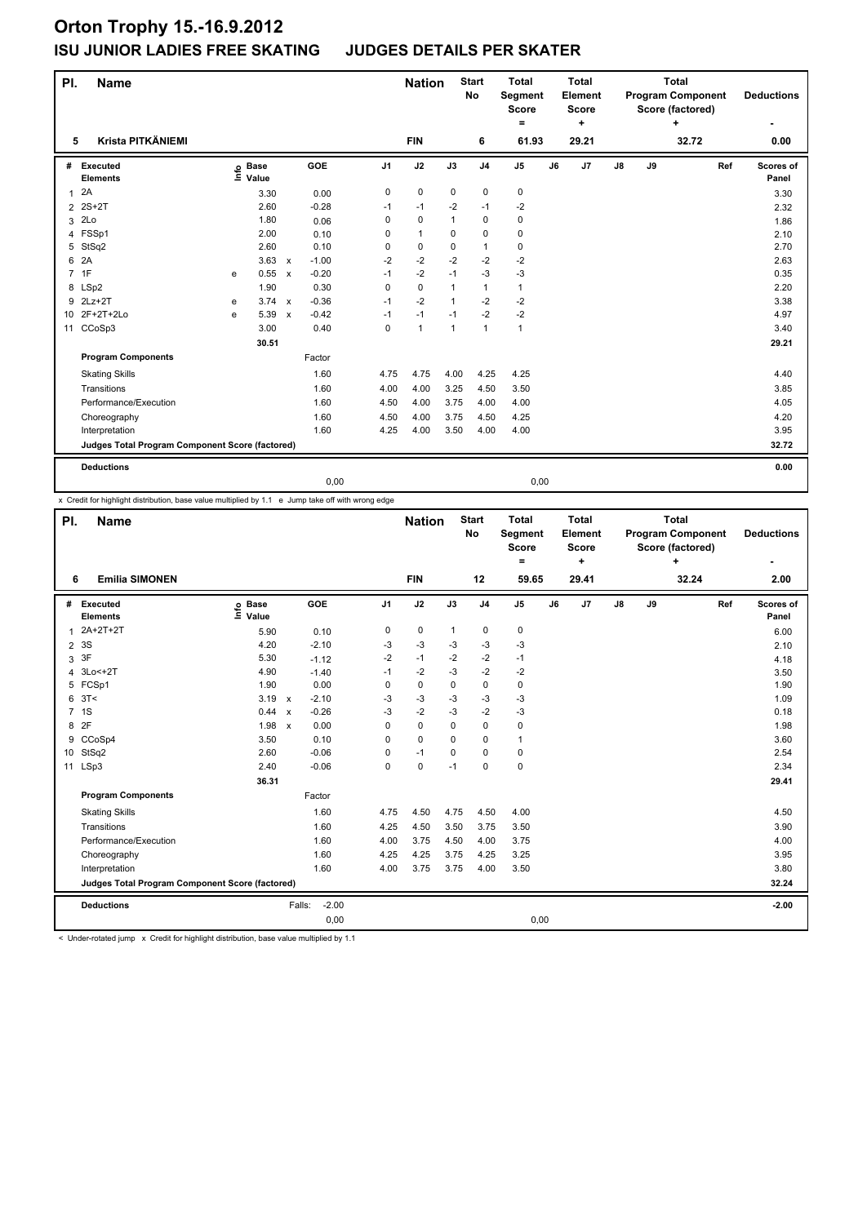| PI.            | <b>Name</b>                                     |   |                      |                           |         |                | <b>Nation</b>  |                | <b>Start</b><br>No | <b>Total</b><br>Segment<br><b>Score</b><br>= |    | <b>Total</b><br>Element<br>Score<br>٠ |               |    | <b>Total</b><br><b>Program Component</b><br>Score (factored)<br>٠ |     | <b>Deductions</b>  |
|----------------|-------------------------------------------------|---|----------------------|---------------------------|---------|----------------|----------------|----------------|--------------------|----------------------------------------------|----|---------------------------------------|---------------|----|-------------------------------------------------------------------|-----|--------------------|
| 5              | Krista PITKÄNIEMI                               |   |                      |                           |         |                | <b>FIN</b>     |                | 6                  | 61.93                                        |    | 29.21                                 |               |    | 32.72                                                             |     | 0.00               |
| #              | <b>Executed</b><br><b>Elements</b>              | e | <b>Base</b><br>Value |                           | GOE     | J <sub>1</sub> | J2             | J3             | J <sub>4</sub>     | J <sub>5</sub>                               | J6 | J <sub>7</sub>                        | $\mathsf{J}8$ | J9 |                                                                   | Ref | Scores of<br>Panel |
| $\mathbf{1}$   | 2A                                              |   | 3.30                 |                           | 0.00    | 0              | $\mathbf 0$    | $\mathbf 0$    | $\pmb{0}$          | 0                                            |    |                                       |               |    |                                                                   |     | 3.30               |
| $\overline{2}$ | 2S+2T                                           |   | 2.60                 |                           | $-0.28$ | $-1$           | $-1$           | $-2$           | $-1$               | $-2$                                         |    |                                       |               |    |                                                                   |     | 2.32               |
| 3              | 2Lo                                             |   | 1.80                 |                           | 0.06    | 0              | 0              | $\mathbf{1}$   | $\mathbf 0$        | 0                                            |    |                                       |               |    |                                                                   |     | 1.86               |
|                | 4 FSSp1                                         |   | 2.00                 |                           | 0.10    | 0              | $\mathbf{1}$   | 0              | $\mathbf 0$        | 0                                            |    |                                       |               |    |                                                                   |     | 2.10               |
| 5              | StSq2                                           |   | 2.60                 |                           | 0.10    | 0              | $\mathbf 0$    | 0              | $\mathbf{1}$       | 0                                            |    |                                       |               |    |                                                                   |     | 2.70               |
| 6              | 2A                                              |   | 3.63                 | $\mathsf{x}$              | $-1.00$ | $-2$           | $-2$           | $-2$           | $-2$               | $-2$                                         |    |                                       |               |    |                                                                   |     | 2.63               |
| $\overline{7}$ | 1F                                              | e | 0.55                 | $\mathsf{x}$              | $-0.20$ | $-1$           | $-2$           | $-1$           | $-3$               | $-3$                                         |    |                                       |               |    |                                                                   |     | 0.35               |
|                | 8 LSp2                                          |   | 1.90                 |                           | 0.30    | 0              | $\mathbf 0$    | $\mathbf{1}$   | $\mathbf{1}$       | $\mathbf{1}$                                 |    |                                       |               |    |                                                                   |     | 2.20               |
|                | 9 2Lz+2T                                        | e | 3.74                 | $\mathbf{x}$              | $-0.36$ | $-1$           | $-2$           | $\mathbf{1}$   | $-2$               | -2                                           |    |                                       |               |    |                                                                   |     | 3.38               |
|                | 10 2F+2T+2Lo                                    | e | 5.39                 | $\boldsymbol{\mathsf{x}}$ | $-0.42$ | $-1$           | $-1$           | $-1$           | $-2$               | $-2$                                         |    |                                       |               |    |                                                                   |     | 4.97               |
| 11             | CCoSp3                                          |   | 3.00                 |                           | 0.40    | 0              | $\overline{1}$ | $\overline{1}$ | $\mathbf{1}$       | $\mathbf{1}$                                 |    |                                       |               |    |                                                                   |     | 3.40               |
|                |                                                 |   | 30.51                |                           |         |                |                |                |                    |                                              |    |                                       |               |    |                                                                   |     | 29.21              |
|                | <b>Program Components</b>                       |   |                      |                           | Factor  |                |                |                |                    |                                              |    |                                       |               |    |                                                                   |     |                    |
|                | <b>Skating Skills</b>                           |   |                      |                           | 1.60    | 4.75           | 4.75           | 4.00           | 4.25               | 4.25                                         |    |                                       |               |    |                                                                   |     | 4.40               |
|                | Transitions                                     |   |                      |                           | 1.60    | 4.00           | 4.00           | 3.25           | 4.50               | 3.50                                         |    |                                       |               |    |                                                                   |     | 3.85               |
|                | Performance/Execution                           |   |                      |                           | 1.60    | 4.50           | 4.00           | 3.75           | 4.00               | 4.00                                         |    |                                       |               |    |                                                                   |     | 4.05               |
|                | Choreography                                    |   |                      |                           | 1.60    | 4.50           | 4.00           | 3.75           | 4.50               | 4.25                                         |    |                                       |               |    |                                                                   |     | 4.20               |
|                | Interpretation                                  |   |                      |                           | 1.60    | 4.25           | 4.00           | 3.50           | 4.00               | 4.00                                         |    |                                       |               |    |                                                                   |     | 3.95               |
|                | Judges Total Program Component Score (factored) |   |                      |                           |         |                |                |                |                    |                                              |    |                                       |               |    |                                                                   |     | 32.72              |
|                | <b>Deductions</b>                               |   |                      |                           |         |                |                |                |                    |                                              |    |                                       |               |    |                                                                   |     | 0.00               |
|                |                                                 |   |                      |                           | 0,00    |                |                |                |                    | 0,00                                         |    |                                       |               |    |                                                                   |     |                    |

x Credit for highlight distribution, base value multiplied by 1.1 e Jump take off with wrong edge

| PI. | <b>Name</b>                                     |                            |                                      |                | <b>Nation</b> |              | <b>Start</b><br><b>No</b> | <b>Total</b><br>Segment<br><b>Score</b><br>$=$ |    | <b>Total</b><br>Element<br><b>Score</b><br>÷ |               |    | <b>Total</b><br><b>Program Component</b><br>Score (factored)<br>4 |     | <b>Deductions</b>  |
|-----|-------------------------------------------------|----------------------------|--------------------------------------|----------------|---------------|--------------|---------------------------|------------------------------------------------|----|----------------------------------------------|---------------|----|-------------------------------------------------------------------|-----|--------------------|
| 6   | <b>Emilia SIMONEN</b>                           |                            |                                      |                | <b>FIN</b>    |              | 12                        | 59.65                                          |    | 29.41                                        |               |    | 32.24                                                             |     | 2.00               |
| #   | Executed<br><b>Elements</b>                     | <b>Base</b><br>۴ů<br>Value | <b>GOE</b>                           | J <sub>1</sub> | J2            | J3           | J <sub>4</sub>            | J <sub>5</sub>                                 | J6 | J7                                           | $\mathsf{J}8$ | J9 |                                                                   | Ref | Scores of<br>Panel |
| 1   | 2A+2T+2T                                        | 5.90                       | 0.10                                 | 0              | 0             | $\mathbf{1}$ | 0                         | 0                                              |    |                                              |               |    |                                                                   |     | 6.00               |
|     | 2 3 S                                           | 4.20                       | $-2.10$                              | -3             | $-3$          | -3           | $-3$                      | $-3$                                           |    |                                              |               |    |                                                                   |     | 2.10               |
| 3   | 3F                                              | 5.30                       | $-1.12$                              | $-2$           | $-1$          | $-2$         | $-2$                      | $-1$                                           |    |                                              |               |    |                                                                   |     | 4.18               |
| 4   | 3Lo<+2T                                         | 4.90                       | $-1.40$                              | $-1$           | $-2$          | $-3$         | $-2$                      | $-2$                                           |    |                                              |               |    |                                                                   |     | 3.50               |
|     | 5 FCSp1                                         | 1.90                       | 0.00                                 | 0              | 0             | 0            | $\mathbf 0$               | 0                                              |    |                                              |               |    |                                                                   |     | 1.90               |
| 6   | 3T<                                             | 3.19                       | $-2.10$<br>$\boldsymbol{\mathsf{x}}$ | -3             | $-3$          | $-3$         | $-3$                      | $-3$                                           |    |                                              |               |    |                                                                   |     | 1.09               |
|     | 7 <sub>1S</sub>                                 | 0.44                       | $-0.26$<br>$\boldsymbol{\mathsf{x}}$ | $-3$           | $-2$          | $-3$         | $-2$                      | $-3$                                           |    |                                              |               |    |                                                                   |     | 0.18               |
| 8   | 2F                                              | 1.98                       | 0.00<br>$\boldsymbol{\mathsf{x}}$    | $\Omega$       | $\Omega$      | $\Omega$     | $\mathbf 0$               | 0                                              |    |                                              |               |    |                                                                   |     | 1.98               |
| 9   | CCoSp4                                          | 3.50                       | 0.10                                 | 0              | $\mathbf 0$   | 0            | $\mathbf 0$               | 1                                              |    |                                              |               |    |                                                                   |     | 3.60               |
|     | 10 StSq2                                        | 2.60                       | $-0.06$                              | $\Omega$       | $-1$          | $\Omega$     | $\Omega$                  | 0                                              |    |                                              |               |    |                                                                   |     | 2.54               |
|     | 11 LSp3                                         | 2.40                       | $-0.06$                              | 0              | $\mathbf 0$   | $-1$         | $\mathbf 0$               | 0                                              |    |                                              |               |    |                                                                   |     | 2.34               |
|     |                                                 | 36.31                      |                                      |                |               |              |                           |                                                |    |                                              |               |    |                                                                   |     | 29.41              |
|     | <b>Program Components</b>                       |                            | Factor                               |                |               |              |                           |                                                |    |                                              |               |    |                                                                   |     |                    |
|     | <b>Skating Skills</b>                           |                            | 1.60                                 | 4.75           | 4.50          | 4.75         | 4.50                      | 4.00                                           |    |                                              |               |    |                                                                   |     | 4.50               |
|     | Transitions                                     |                            | 1.60                                 | 4.25           | 4.50          | 3.50         | 3.75                      | 3.50                                           |    |                                              |               |    |                                                                   |     | 3.90               |
|     | Performance/Execution                           |                            | 1.60                                 | 4.00           | 3.75          | 4.50         | 4.00                      | 3.75                                           |    |                                              |               |    |                                                                   |     | 4.00               |
|     | Choreography                                    |                            | 1.60                                 | 4.25           | 4.25          | 3.75         | 4.25                      | 3.25                                           |    |                                              |               |    |                                                                   |     | 3.95               |
|     | Interpretation                                  |                            | 1.60                                 | 4.00           | 3.75          | 3.75         | 4.00                      | 3.50                                           |    |                                              |               |    |                                                                   |     | 3.80               |
|     | Judges Total Program Component Score (factored) |                            |                                      |                |               |              |                           |                                                |    |                                              |               |    |                                                                   |     | 32.24              |
|     | <b>Deductions</b>                               |                            | $-2.00$<br>Falls:                    |                |               |              |                           |                                                |    |                                              |               |    |                                                                   |     | $-2.00$            |
|     |                                                 |                            | 0,00                                 |                |               |              |                           | 0,00                                           |    |                                              |               |    |                                                                   |     |                    |

< Under-rotated jump x Credit for highlight distribution, base value multiplied by 1.1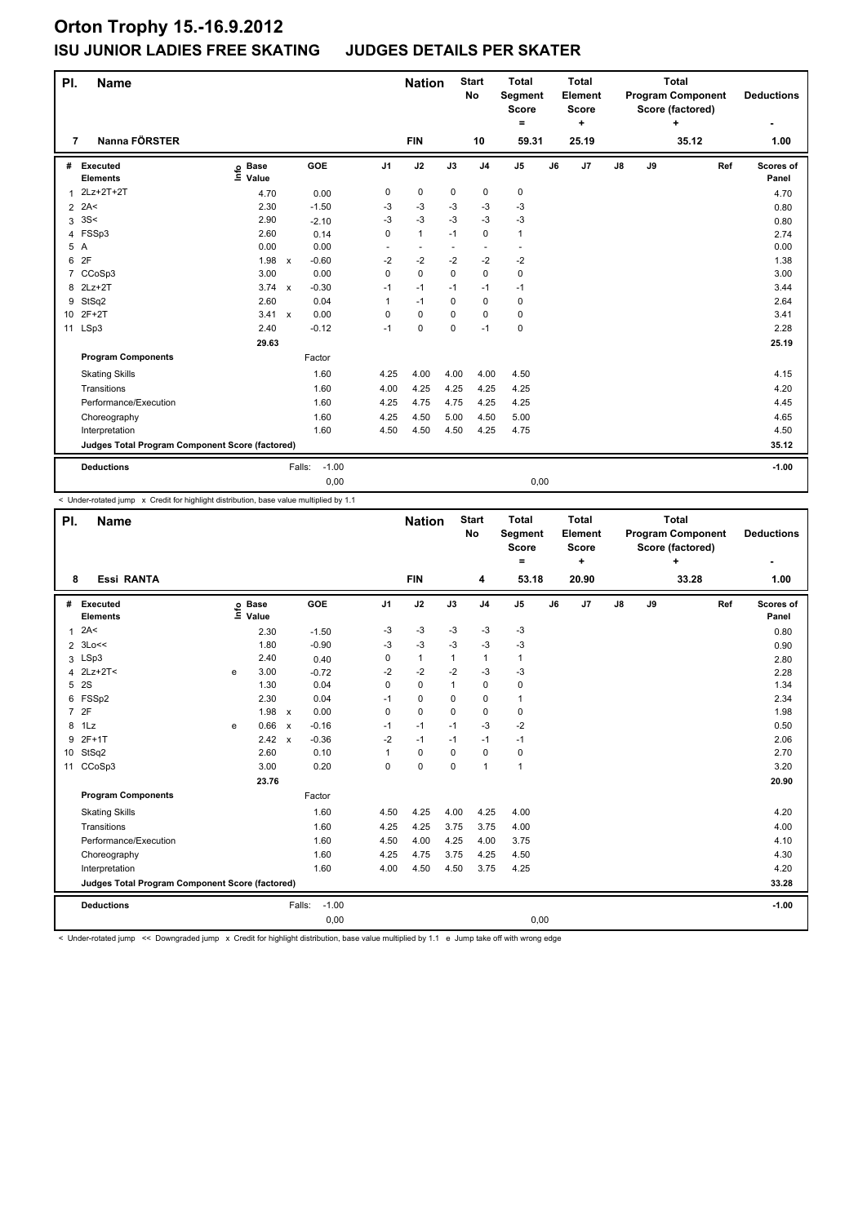| PI.             | <b>Name</b>                                     |                              |              |         |                | <b>Nation</b> |             | <b>Start</b><br><b>No</b> | <b>Total</b><br>Segment<br><b>Score</b><br>= |    | <b>Total</b><br>Element<br>Score<br>٠ |               |    | <b>Total</b><br><b>Program Component</b><br>Score (factored)<br>÷ |     | <b>Deductions</b>  |
|-----------------|-------------------------------------------------|------------------------------|--------------|---------|----------------|---------------|-------------|---------------------------|----------------------------------------------|----|---------------------------------------|---------------|----|-------------------------------------------------------------------|-----|--------------------|
| 7               | Nanna FÖRSTER                                   |                              |              |         |                | <b>FIN</b>    |             | 10                        | 59.31                                        |    | 25.19                                 |               |    | 35.12                                                             |     | 1.00               |
| #               | Executed<br><b>Elements</b>                     | <b>Base</b><br>١nf٥<br>Value |              | GOE     | J <sub>1</sub> | J2            | J3          | J <sub>4</sub>            | J <sub>5</sub>                               | J6 | J7                                    | $\mathsf{J}8$ | J9 |                                                                   | Ref | Scores of<br>Panel |
| 1               | 2Lz+2T+2T                                       | 4.70                         |              | 0.00    | 0              | 0             | 0           | 0                         | $\mathbf 0$                                  |    |                                       |               |    |                                                                   |     | 4.70               |
| $\overline{2}$  | 2A<                                             | 2.30                         |              | $-1.50$ | -3             | $-3$          | $-3$        | $-3$                      | $-3$                                         |    |                                       |               |    |                                                                   |     | 0.80               |
| 3               | 3S<                                             | 2.90                         |              | $-2.10$ | $-3$           | $-3$          | $-3$        | $-3$                      | $-3$                                         |    |                                       |               |    |                                                                   |     | 0.80               |
| 4               | FSSp3                                           | 2.60                         |              | 0.14    | $\mathbf 0$    | $\mathbf{1}$  | $-1$        | $\mathbf 0$               | 1                                            |    |                                       |               |    |                                                                   |     | 2.74               |
|                 | 5 A                                             | 0.00                         |              | 0.00    | ٠              | $\sim$        |             | ٠.                        | $\sim$                                       |    |                                       |               |    |                                                                   |     | 0.00               |
| 6               | 2F                                              | 1.98                         | $\mathsf{x}$ | $-0.60$ | $-2$           | $-2$          | $-2$        | $-2$                      | $-2$                                         |    |                                       |               |    |                                                                   |     | 1.38               |
| 7               | CCoSp3                                          | 3.00                         |              | 0.00    | $\Omega$       | $\mathbf 0$   | $\Omega$    | $\Omega$                  | 0                                            |    |                                       |               |    |                                                                   |     | 3.00               |
| 8               | $2Lz+2T$                                        | $3.74 \times$                |              | $-0.30$ | $-1$           | $-1$          | $-1$        | $-1$                      | $-1$                                         |    |                                       |               |    |                                                                   |     | 3.44               |
| 9               | StSq2                                           | 2.60                         |              | 0.04    | 1              | $-1$          | $\Omega$    | $\mathbf 0$               | $\mathbf 0$                                  |    |                                       |               |    |                                                                   |     | 2.64               |
| 10 <sup>°</sup> | $2F+2T$                                         | 3.41                         | $\mathbf{x}$ | 0.00    | $\Omega$       | $\Omega$      | $\Omega$    | $\mathbf 0$               | 0                                            |    |                                       |               |    |                                                                   |     | 3.41               |
| 11              | LSp3                                            | 2.40                         |              | $-0.12$ | $-1$           | $\mathbf 0$   | $\mathbf 0$ | $-1$                      | $\mathbf 0$                                  |    |                                       |               |    |                                                                   |     | 2.28               |
|                 |                                                 | 29.63                        |              |         |                |               |             |                           |                                              |    |                                       |               |    |                                                                   |     | 25.19              |
|                 | <b>Program Components</b>                       |                              |              | Factor  |                |               |             |                           |                                              |    |                                       |               |    |                                                                   |     |                    |
|                 | <b>Skating Skills</b>                           |                              |              | 1.60    | 4.25           | 4.00          | 4.00        | 4.00                      | 4.50                                         |    |                                       |               |    |                                                                   |     | 4.15               |
|                 | Transitions                                     |                              |              | 1.60    | 4.00           | 4.25          | 4.25        | 4.25                      | 4.25                                         |    |                                       |               |    |                                                                   |     | 4.20               |
|                 | Performance/Execution                           |                              |              | 1.60    | 4.25           | 4.75          | 4.75        | 4.25                      | 4.25                                         |    |                                       |               |    |                                                                   |     | 4.45               |
|                 | Choreography                                    |                              |              | 1.60    | 4.25           | 4.50          | 5.00        | 4.50                      | 5.00                                         |    |                                       |               |    |                                                                   |     | 4.65               |
|                 | Interpretation                                  |                              |              | 1.60    | 4.50           | 4.50          | 4.50        | 4.25                      | 4.75                                         |    |                                       |               |    |                                                                   |     | 4.50               |
|                 | Judges Total Program Component Score (factored) |                              |              |         |                |               |             |                           |                                              |    |                                       |               |    |                                                                   |     | 35.12              |
|                 | <b>Deductions</b>                               |                              | Falls:       | $-1.00$ |                |               |             |                           |                                              |    |                                       |               |    |                                                                   |     | $-1.00$            |
|                 |                                                 |                              |              | 0,00    |                |               |             |                           | 0,00                                         |    |                                       |               |    |                                                                   |     |                    |

< Under-rotated jump x Credit for highlight distribution, base value multiplied by 1.1

| PI.             | <b>Name</b>                                     |   |                                  |              |                   |                | <b>Nation</b> |          | <b>Start</b><br>No | <b>Total</b><br>Segment<br><b>Score</b><br>$\equiv$ |    | <b>Total</b><br>Element<br><b>Score</b><br>÷ |    |    | <b>Total</b><br><b>Program Component</b><br>Score (factored)<br>٠ |     | <b>Deductions</b>  |
|-----------------|-------------------------------------------------|---|----------------------------------|--------------|-------------------|----------------|---------------|----------|--------------------|-----------------------------------------------------|----|----------------------------------------------|----|----|-------------------------------------------------------------------|-----|--------------------|
| 8               | <b>Essi RANTA</b>                               |   |                                  |              |                   |                | <b>FIN</b>    |          | 4                  | 53.18                                               |    | 20.90                                        |    |    | 33.28                                                             |     | 1.00               |
| #               | Executed<br><b>Elements</b>                     |   | <b>Base</b><br>e Base<br>⊑ Value |              | GOE               | J <sub>1</sub> | J2            | J3       | J <sub>4</sub>     | J <sub>5</sub>                                      | J6 | J7                                           | J8 | J9 |                                                                   | Ref | Scores of<br>Panel |
| 1               | 2A<                                             |   | 2.30                             |              | $-1.50$           | $-3$           | $-3$          | $-3$     | $-3$               | $-3$                                                |    |                                              |    |    |                                                                   |     | 0.80               |
| $\overline{2}$  | 3Lo<<                                           |   | 1.80                             |              | $-0.90$           | $-3$           | $-3$          | $-3$     | $-3$               | $-3$                                                |    |                                              |    |    |                                                                   |     | 0.90               |
|                 | 3 LSp3                                          |   | 2.40                             |              | 0.40              | 0              | $\mathbf{1}$  | 1        | 1                  | 1                                                   |    |                                              |    |    |                                                                   |     | 2.80               |
|                 | 4 2Lz+2T<                                       | e | 3.00                             |              | $-0.72$           | $-2$           | $-2$          | $-2$     | $-3$               | $-3$                                                |    |                                              |    |    |                                                                   |     | 2.28               |
| 5               | 2S                                              |   | 1.30                             |              | 0.04              | 0              | $\mathbf 0$   | 1        | 0                  | 0                                                   |    |                                              |    |    |                                                                   |     | 1.34               |
|                 | 6 FSSp2                                         |   | 2.30                             |              | 0.04              | $-1$           | $\mathbf 0$   | $\Omega$ | $\mathbf 0$        | 1                                                   |    |                                              |    |    |                                                                   |     | 2.34               |
| $\overline{7}$  | 2F                                              |   | 1.98                             | $\mathbf{x}$ | 0.00              | 0              | $\mathbf 0$   | 0        | $\mathbf 0$        | 0                                                   |    |                                              |    |    |                                                                   |     | 1.98               |
|                 | 8 1Lz                                           | e | 0.66 x                           |              | $-0.16$           | $-1$           | $-1$          | $-1$     | $-3$               | $-2$                                                |    |                                              |    |    |                                                                   |     | 0.50               |
| 9               | $2F+1T$                                         |   | $2.42 \times$                    |              | $-0.36$           | $-2$           | $-1$          | $-1$     | $-1$               | $-1$                                                |    |                                              |    |    |                                                                   |     | 2.06               |
| 10 <sup>°</sup> | StSq2                                           |   | 2.60                             |              | 0.10              |                | 0             | 0        | $\mathbf 0$        | 0                                                   |    |                                              |    |    |                                                                   |     | 2.70               |
|                 | 11 CCoSp3                                       |   | 3.00                             |              | 0.20              | 0              | $\mathbf 0$   | $\Omega$ | $\mathbf{1}$       | 1                                                   |    |                                              |    |    |                                                                   |     | 3.20               |
|                 |                                                 |   | 23.76                            |              |                   |                |               |          |                    |                                                     |    |                                              |    |    |                                                                   |     | 20.90              |
|                 | <b>Program Components</b>                       |   |                                  |              | Factor            |                |               |          |                    |                                                     |    |                                              |    |    |                                                                   |     |                    |
|                 | <b>Skating Skills</b>                           |   |                                  |              | 1.60              | 4.50           | 4.25          | 4.00     | 4.25               | 4.00                                                |    |                                              |    |    |                                                                   |     | 4.20               |
|                 | Transitions                                     |   |                                  |              | 1.60              | 4.25           | 4.25          | 3.75     | 3.75               | 4.00                                                |    |                                              |    |    |                                                                   |     | 4.00               |
|                 | Performance/Execution                           |   |                                  |              | 1.60              | 4.50           | 4.00          | 4.25     | 4.00               | 3.75                                                |    |                                              |    |    |                                                                   |     | 4.10               |
|                 | Choreography                                    |   |                                  |              | 1.60              | 4.25           | 4.75          | 3.75     | 4.25               | 4.50                                                |    |                                              |    |    |                                                                   |     | 4.30               |
|                 | Interpretation                                  |   |                                  |              | 1.60              | 4.00           | 4.50          | 4.50     | 3.75               | 4.25                                                |    |                                              |    |    |                                                                   |     | 4.20               |
|                 | Judges Total Program Component Score (factored) |   |                                  |              |                   |                |               |          |                    |                                                     |    |                                              |    |    |                                                                   |     | 33.28              |
|                 | <b>Deductions</b>                               |   |                                  |              | $-1.00$<br>Falls: |                |               |          |                    |                                                     |    |                                              |    |    |                                                                   |     | $-1.00$            |
|                 |                                                 |   |                                  |              | 0,00              |                |               |          |                    | 0,00                                                |    |                                              |    |    |                                                                   |     |                    |

< Under-rotated jump << Downgraded jump x Credit for highlight distribution, base value multiplied by 1.1 e Jump take off with wrong edge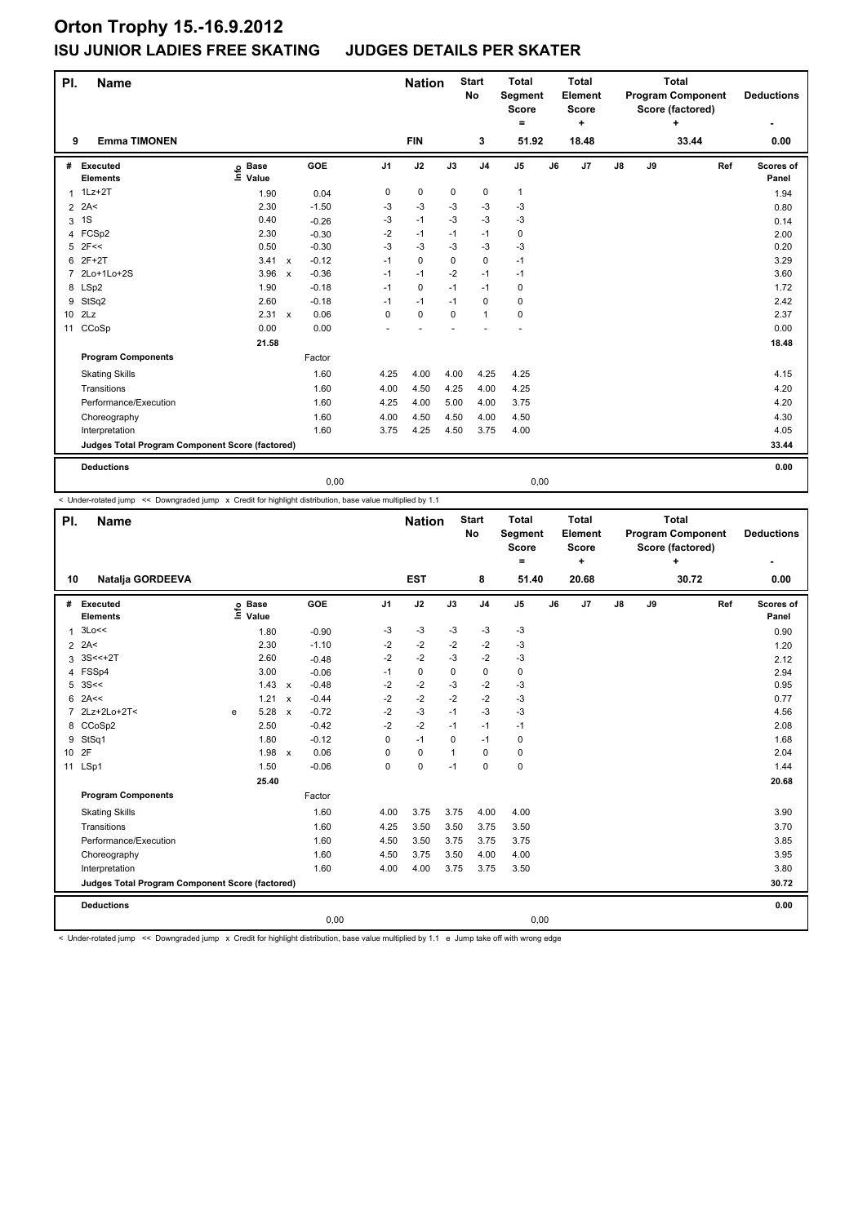| PI.             | <b>Name</b>                                     |                                  |                           |         |                | <b>Nation</b> |             | <b>Start</b><br>No | <b>Total</b><br>Segment<br><b>Score</b><br>۰ |    | <b>Total</b><br>Element<br><b>Score</b><br>÷ |    |    | <b>Total</b><br><b>Program Component</b><br>Score (factored)<br>٠ |     | <b>Deductions</b>  |
|-----------------|-------------------------------------------------|----------------------------------|---------------------------|---------|----------------|---------------|-------------|--------------------|----------------------------------------------|----|----------------------------------------------|----|----|-------------------------------------------------------------------|-----|--------------------|
| 9               | <b>Emma TIMONEN</b>                             |                                  |                           |         |                | <b>FIN</b>    |             | 3                  | 51.92                                        |    | 18.48                                        |    |    | 33.44                                                             |     | 0.00               |
| #               | Executed<br><b>Elements</b>                     | <b>Base</b><br>e Base<br>≞ Value |                           | GOE     | J <sub>1</sub> | J2            | J3          | J <sub>4</sub>     | J <sub>5</sub>                               | J6 | J7                                           | J8 | J9 |                                                                   | Ref | Scores of<br>Panel |
| $\mathbf{1}$    | $1Lz + 2T$                                      | 1.90                             |                           | 0.04    | 0              | $\pmb{0}$     | 0           | 0                  | $\mathbf{1}$                                 |    |                                              |    |    |                                                                   |     | 1.94               |
| $\overline{2}$  | 2A<                                             | 2.30                             |                           | $-1.50$ | -3             | $-3$          | -3          | $-3$               | $-3$                                         |    |                                              |    |    |                                                                   |     | 0.80               |
| 3               | 1S                                              | 0.40                             |                           | $-0.26$ | -3             | $-1$          | $-3$        | $-3$               | $-3$                                         |    |                                              |    |    |                                                                   |     | 0.14               |
| 4               | FCSp2                                           | 2.30                             |                           | $-0.30$ | $-2$           | $-1$          | $-1$        | $-1$               | $\mathbf 0$                                  |    |                                              |    |    |                                                                   |     | 2.00               |
| 5               | 2F<<                                            | 0.50                             |                           | $-0.30$ | $-3$           | $-3$          | -3          | $-3$               | $-3$                                         |    |                                              |    |    |                                                                   |     | 0.20               |
| 6               | $2F+2T$                                         | 3.41                             | $\boldsymbol{\mathsf{x}}$ | $-0.12$ | $-1$           | $\mathbf 0$   | $\Omega$    | $\mathbf 0$        | $-1$                                         |    |                                              |    |    |                                                                   |     | 3.29               |
| $\overline{7}$  | 2Lo+1Lo+2S                                      | 3.96                             | $\boldsymbol{\mathsf{x}}$ | $-0.36$ | $-1$           | $-1$          | $-2$        | $-1$               | $-1$                                         |    |                                              |    |    |                                                                   |     | 3.60               |
|                 | 8 LSp2                                          | 1.90                             |                           | $-0.18$ | $-1$           | 0             | $-1$        | $-1$               | 0                                            |    |                                              |    |    |                                                                   |     | 1.72               |
| 9               | StSq2                                           | 2.60                             |                           | $-0.18$ | $-1$           | $-1$          | $-1$        | $\mathbf 0$        | 0                                            |    |                                              |    |    |                                                                   |     | 2.42               |
| 10 <sup>1</sup> | 2Lz                                             | 2.31                             | $\mathsf{x}$              | 0.06    | $\mathbf 0$    | $\mathbf 0$   | $\mathbf 0$ | $\mathbf{1}$       | $\mathbf 0$                                  |    |                                              |    |    |                                                                   |     | 2.37               |
| 11              | CCoSp                                           | 0.00                             |                           | 0.00    |                |               |             |                    |                                              |    |                                              |    |    |                                                                   |     | 0.00               |
|                 |                                                 | 21.58                            |                           |         |                |               |             |                    |                                              |    |                                              |    |    |                                                                   |     | 18.48              |
|                 | <b>Program Components</b>                       |                                  |                           | Factor  |                |               |             |                    |                                              |    |                                              |    |    |                                                                   |     |                    |
|                 | <b>Skating Skills</b>                           |                                  |                           | 1.60    | 4.25           | 4.00          | 4.00        | 4.25               | 4.25                                         |    |                                              |    |    |                                                                   |     | 4.15               |
|                 | Transitions                                     |                                  |                           | 1.60    | 4.00           | 4.50          | 4.25        | 4.00               | 4.25                                         |    |                                              |    |    |                                                                   |     | 4.20               |
|                 | Performance/Execution                           |                                  |                           | 1.60    | 4.25           | 4.00          | 5.00        | 4.00               | 3.75                                         |    |                                              |    |    |                                                                   |     | 4.20               |
|                 | Choreography                                    |                                  |                           | 1.60    | 4.00           | 4.50          | 4.50        | 4.00               | 4.50                                         |    |                                              |    |    |                                                                   |     | 4.30               |
|                 | Interpretation                                  |                                  |                           | 1.60    | 3.75           | 4.25          | 4.50        | 3.75               | 4.00                                         |    |                                              |    |    |                                                                   |     | 4.05               |
|                 | Judges Total Program Component Score (factored) |                                  |                           |         |                |               |             |                    |                                              |    |                                              |    |    |                                                                   |     | 33.44              |
|                 | <b>Deductions</b>                               |                                  |                           |         |                |               |             |                    |                                              |    |                                              |    |    |                                                                   |     | 0.00               |
|                 |                                                 |                                  |                           | 0.00    |                |               |             |                    | 0,00                                         |    |                                              |    |    |                                                                   |     |                    |

< Under-rotated jump << Downgraded jump x Credit for highlight distribution, base value multiplied by 1.1

| PI.            | <b>Name</b>                                     |      |                      |                           |            |                | <b>Nation</b> |              | <b>Start</b><br><b>No</b> | <b>Total</b><br>Segment<br><b>Score</b><br>Ξ. |    | <b>Total</b><br>Element<br><b>Score</b><br>÷ |               |    | <b>Total</b><br><b>Program Component</b><br>Score (factored)<br>+ |     | <b>Deductions</b>  |
|----------------|-------------------------------------------------|------|----------------------|---------------------------|------------|----------------|---------------|--------------|---------------------------|-----------------------------------------------|----|----------------------------------------------|---------------|----|-------------------------------------------------------------------|-----|--------------------|
| 10             | Natalja GORDEEVA                                |      |                      |                           |            |                | <b>EST</b>    |              | 8                         | 51.40                                         |    | 20.68                                        |               |    | 30.72                                                             |     | 0.00               |
|                | # Executed<br><b>Elements</b>                   | lnfo | <b>Base</b><br>Value |                           | <b>GOE</b> | J <sub>1</sub> | J2            | J3           | J <sub>4</sub>            | J <sub>5</sub>                                | J6 | J7                                           | $\mathsf{J}8$ | J9 |                                                                   | Ref | Scores of<br>Panel |
| 1              | 3Lo<<                                           |      | 1.80                 |                           | $-0.90$    | -3             | $-3$          | -3           | $-3$                      | -3                                            |    |                                              |               |    |                                                                   |     | 0.90               |
|                | $2$ 2A<                                         |      | 2.30                 |                           | $-1.10$    | $-2$           | $-2$          | $-2$         | $-2$                      | $-3$                                          |    |                                              |               |    |                                                                   |     | 1.20               |
| 3              | $3S < +2T$                                      |      | 2.60                 |                           | $-0.48$    | $-2$           | $-2$          | $-3$         | $-2$                      | $-3$                                          |    |                                              |               |    |                                                                   |     | 2.12               |
| 4              | FSSp4                                           |      | 3.00                 |                           | $-0.06$    | $-1$           | 0             | $\Omega$     | $\mathbf 0$               | 0                                             |    |                                              |               |    |                                                                   |     | 2.94               |
| 5              | 3S<<                                            |      | $1.43 \times$        |                           | $-0.48$    | $-2$           | $-2$          | $-3$         | $-2$                      | $-3$                                          |    |                                              |               |    |                                                                   |     | 0.95               |
| 6              | 2A<<                                            |      | 1.21                 | $\boldsymbol{\mathsf{x}}$ | $-0.44$    | $-2$           | $-2$          | $-2$         | $-2$                      | $-3$                                          |    |                                              |               |    |                                                                   |     | 0.77               |
| $\overline{7}$ | 2Lz+2Lo+2T<                                     | e    | 5.28                 | $\mathsf{x}$              | $-0.72$    | $-2$           | $-3$          | $-1$         | $-3$                      | $-3$                                          |    |                                              |               |    |                                                                   |     | 4.56               |
|                | 8 CCoSp2                                        |      | 2.50                 |                           | $-0.42$    | $-2$           | $-2$          | $-1$         | $-1$                      | $-1$                                          |    |                                              |               |    |                                                                   |     | 2.08               |
| 9              | StSq1                                           |      | 1.80                 |                           | $-0.12$    | 0              | $-1$          | $\Omega$     | $-1$                      | 0                                             |    |                                              |               |    |                                                                   |     | 1.68               |
| 10 2F          |                                                 |      | 1.98 x               |                           | 0.06       | 0              | $\mathbf 0$   | $\mathbf{1}$ | 0                         | 0                                             |    |                                              |               |    |                                                                   |     | 2.04               |
|                | 11 LSp1                                         |      | 1.50                 |                           | $-0.06$    | 0              | 0             | $-1$         | $\mathbf 0$               | $\mathbf 0$                                   |    |                                              |               |    |                                                                   |     | 1.44               |
|                |                                                 |      | 25.40                |                           |            |                |               |              |                           |                                               |    |                                              |               |    |                                                                   |     | 20.68              |
|                | <b>Program Components</b>                       |      |                      |                           | Factor     |                |               |              |                           |                                               |    |                                              |               |    |                                                                   |     |                    |
|                | <b>Skating Skills</b>                           |      |                      |                           | 1.60       | 4.00           | 3.75          | 3.75         | 4.00                      | 4.00                                          |    |                                              |               |    |                                                                   |     | 3.90               |
|                | Transitions                                     |      |                      |                           | 1.60       | 4.25           | 3.50          | 3.50         | 3.75                      | 3.50                                          |    |                                              |               |    |                                                                   |     | 3.70               |
|                | Performance/Execution                           |      |                      |                           | 1.60       | 4.50           | 3.50          | 3.75         | 3.75                      | 3.75                                          |    |                                              |               |    |                                                                   |     | 3.85               |
|                | Choreography                                    |      |                      |                           | 1.60       | 4.50           | 3.75          | 3.50         | 4.00                      | 4.00                                          |    |                                              |               |    |                                                                   |     | 3.95               |
|                | Interpretation                                  |      |                      |                           | 1.60       | 4.00           | 4.00          | 3.75         | 3.75                      | 3.50                                          |    |                                              |               |    |                                                                   |     | 3.80               |
|                | Judges Total Program Component Score (factored) |      |                      |                           |            |                |               |              |                           |                                               |    |                                              |               |    |                                                                   |     | 30.72              |
|                | <b>Deductions</b>                               |      |                      |                           |            |                |               |              |                           |                                               |    |                                              |               |    |                                                                   |     | 0.00               |
|                |                                                 |      |                      |                           | 0,00       |                |               |              |                           | 0,00                                          |    |                                              |               |    |                                                                   |     |                    |

< Under-rotated jump << Downgraded jump x Credit for highlight distribution, base value multiplied by 1.1 e Jump take off with wrong edge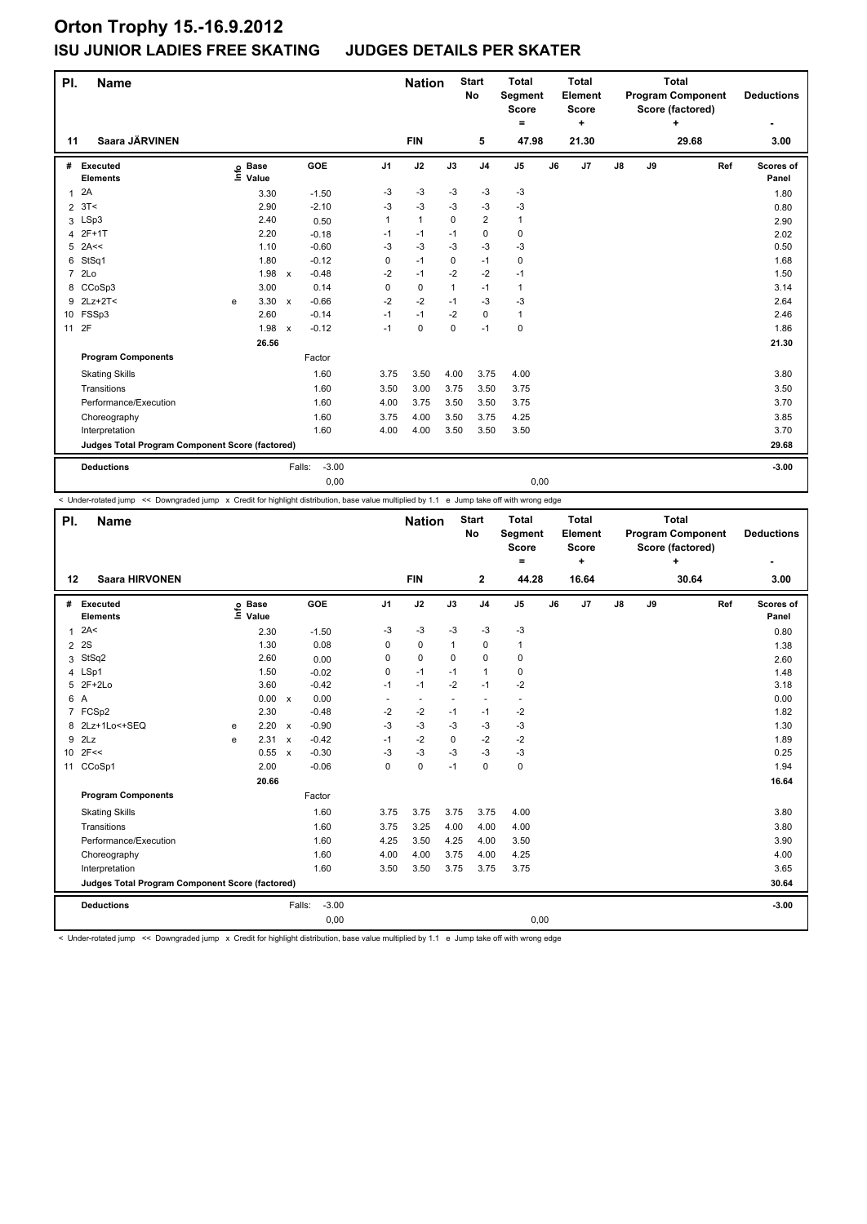| PI.            | <b>Name</b>                                     |      |                      |              |                   |                | <b>Nation</b> |              | <b>Start</b><br><b>No</b> | <b>Total</b><br>Segment<br><b>Score</b><br>Ξ. |    | <b>Total</b><br>Element<br><b>Score</b><br>÷ |               |    | <b>Total</b><br><b>Program Component</b><br>Score (factored)<br>÷ |     | <b>Deductions</b>  |
|----------------|-------------------------------------------------|------|----------------------|--------------|-------------------|----------------|---------------|--------------|---------------------------|-----------------------------------------------|----|----------------------------------------------|---------------|----|-------------------------------------------------------------------|-----|--------------------|
| 11             | Saara JÄRVINEN                                  |      |                      |              |                   |                | <b>FIN</b>    |              | 5                         | 47.98                                         |    | 21.30                                        |               |    | 29.68                                                             |     | 3.00               |
| #              | Executed<br><b>Elements</b>                     | lnfo | <b>Base</b><br>Value |              | GOE               | J <sub>1</sub> | J2            | J3           | J <sub>4</sub>            | J <sub>5</sub>                                | J6 | J <sub>7</sub>                               | $\mathsf{J}8$ | J9 |                                                                   | Ref | Scores of<br>Panel |
| $\mathbf{1}$   | 2A                                              |      | 3.30                 |              | $-1.50$           | -3             | $-3$          | $-3$         | $-3$                      | $-3$                                          |    |                                              |               |    |                                                                   |     | 1.80               |
| $\overline{2}$ | 3T<                                             |      | 2.90                 |              | $-2.10$           | $-3$           | $-3$          | $-3$         | $-3$                      | $-3$                                          |    |                                              |               |    |                                                                   |     | 0.80               |
| 3              | LSp3                                            |      | 2.40                 |              | 0.50              | 1              | $\mathbf{1}$  | $\Omega$     | $\overline{2}$            | $\mathbf{1}$                                  |    |                                              |               |    |                                                                   |     | 2.90               |
| 4              | 2F+1T                                           |      | 2.20                 |              | $-0.18$           | $-1$           | $-1$          | $-1$         | 0                         | $\pmb{0}$                                     |    |                                              |               |    |                                                                   |     | 2.02               |
| 5              | 2A<<                                            |      | 1.10                 |              | $-0.60$           | -3             | $-3$          | $-3$         | $-3$                      | $-3$                                          |    |                                              |               |    |                                                                   |     | 0.50               |
| 6              | StSq1                                           |      | 1.80                 |              | $-0.12$           | 0              | $-1$          | $\mathbf 0$  | $-1$                      | 0                                             |    |                                              |               |    |                                                                   |     | 1.68               |
| $\overline{7}$ | 2Lo                                             |      | 1.98                 | $\mathsf{x}$ | $-0.48$           | $-2$           | $-1$          | $-2$         | $-2$                      | $-1$                                          |    |                                              |               |    |                                                                   |     | 1.50               |
| 8              | CCoSp3                                          |      | 3.00                 |              | 0.14              | 0              | $\pmb{0}$     | $\mathbf{1}$ | $-1$                      | $\mathbf{1}$                                  |    |                                              |               |    |                                                                   |     | 3.14               |
|                | 9 2Lz+2T<                                       | е    | 3.30                 | $\mathbf{x}$ | $-0.66$           | $-2$           | $-2$          | $-1$         | -3                        | -3                                            |    |                                              |               |    |                                                                   |     | 2.64               |
|                | 10 FSSp3                                        |      | 2.60                 |              | $-0.14$           | $-1$           | $-1$          | $-2$         | $\mathbf 0$               | $\mathbf{1}$                                  |    |                                              |               |    |                                                                   |     | 2.46               |
| 11             | 2F                                              |      | 1.98                 | $\mathsf{x}$ | $-0.12$           | $-1$           | $\mathbf 0$   | $\mathbf 0$  | $-1$                      | $\mathbf 0$                                   |    |                                              |               |    |                                                                   |     | 1.86               |
|                |                                                 |      | 26.56                |              |                   |                |               |              |                           |                                               |    |                                              |               |    |                                                                   |     | 21.30              |
|                | <b>Program Components</b>                       |      |                      |              | Factor            |                |               |              |                           |                                               |    |                                              |               |    |                                                                   |     |                    |
|                | <b>Skating Skills</b>                           |      |                      |              | 1.60              | 3.75           | 3.50          | 4.00         | 3.75                      | 4.00                                          |    |                                              |               |    |                                                                   |     | 3.80               |
|                | Transitions                                     |      |                      |              | 1.60              | 3.50           | 3.00          | 3.75         | 3.50                      | 3.75                                          |    |                                              |               |    |                                                                   |     | 3.50               |
|                | Performance/Execution                           |      |                      |              | 1.60              | 4.00           | 3.75          | 3.50         | 3.50                      | 3.75                                          |    |                                              |               |    |                                                                   |     | 3.70               |
|                | Choreography                                    |      |                      |              | 1.60              | 3.75           | 4.00          | 3.50         | 3.75                      | 4.25                                          |    |                                              |               |    |                                                                   |     | 3.85               |
|                | Interpretation                                  |      |                      |              | 1.60              | 4.00           | 4.00          | 3.50         | 3.50                      | 3.50                                          |    |                                              |               |    |                                                                   |     | 3.70               |
|                | Judges Total Program Component Score (factored) |      |                      |              |                   |                |               |              |                           |                                               |    |                                              |               |    |                                                                   |     | 29.68              |
|                | <b>Deductions</b>                               |      |                      |              | $-3.00$<br>Falls: |                |               |              |                           |                                               |    |                                              |               |    |                                                                   |     | $-3.00$            |
|                |                                                 |      |                      |              | 0,00              |                |               |              |                           | 0,00                                          |    |                                              |               |    |                                                                   |     |                    |

< Under-rotated jump << Downgraded jump x Credit for highlight distribution, base value multiplied by 1.1 e Jump take off with wrong edge

| PI.             | <b>Name</b>                                     |      |                      |                           |                   |                | <b>Nation</b>            |              | <b>Start</b><br>No       | <b>Total</b><br>Segment<br><b>Score</b><br>Ξ. |    | <b>Total</b><br>Element<br><b>Score</b><br>÷ |               |    | <b>Total</b><br><b>Program Component</b><br>Score (factored)<br>÷ |     | <b>Deductions</b>  |
|-----------------|-------------------------------------------------|------|----------------------|---------------------------|-------------------|----------------|--------------------------|--------------|--------------------------|-----------------------------------------------|----|----------------------------------------------|---------------|----|-------------------------------------------------------------------|-----|--------------------|
| 12              | <b>Saara HIRVONEN</b>                           |      |                      |                           |                   |                | <b>FIN</b>               |              | $\mathbf{2}$             | 44.28                                         |    | 16.64                                        |               |    | 30.64                                                             |     | 3.00               |
| #               | Executed<br><b>Elements</b>                     | lnfo | <b>Base</b><br>Value |                           | GOE               | J <sub>1</sub> | J2                       | J3           | J <sub>4</sub>           | J <sub>5</sub>                                | J6 | J7                                           | $\mathsf{J}8$ | J9 |                                                                   | Ref | Scores of<br>Panel |
| $\mathbf{1}$    | 2A<                                             |      | 2.30                 |                           | $-1.50$           | $-3$           | $-3$                     | $-3$         | $-3$                     | $-3$                                          |    |                                              |               |    |                                                                   |     | 0.80               |
| $\overline{2}$  | 2S                                              |      | 1.30                 |                           | 0.08              | 0              | $\mathbf 0$              | $\mathbf{1}$ | $\mathbf 0$              | $\mathbf{1}$                                  |    |                                              |               |    |                                                                   |     | 1.38               |
| 3               | StSq2                                           |      | 2.60                 |                           | 0.00              | $\Omega$       | $\Omega$                 | $\Omega$     | $\mathbf 0$              | 0                                             |    |                                              |               |    |                                                                   |     | 2.60               |
| 4               | LSp1                                            |      | 1.50                 |                           | $-0.02$           | 0              | $-1$                     | $-1$         | $\mathbf{1}$             | 0                                             |    |                                              |               |    |                                                                   |     | 1.48               |
|                 | 5 2F+2Lo                                        |      | 3.60                 |                           | $-0.42$           | $-1$           | $-1$                     | $-2$         | $-1$                     | $-2$                                          |    |                                              |               |    |                                                                   |     | 3.18               |
| 6 A             |                                                 |      | 0.00                 | $\mathsf{x}$              | 0.00              | ٠              | $\overline{\phantom{a}}$ |              | $\overline{\phantom{a}}$ | $\ddot{\phantom{1}}$                          |    |                                              |               |    |                                                                   |     | 0.00               |
|                 | 7 FCSp2                                         |      | 2.30                 |                           | $-0.48$           | $-2$           | $-2$                     | $-1$         | $-1$                     | $-2$                                          |    |                                              |               |    |                                                                   |     | 1.82               |
| 8               | 2Lz+1Lo<+SEQ                                    | e    | 2.20                 | $\mathsf{x}$              | $-0.90$           | $-3$           | $-3$                     | $-3$         | $-3$                     | $-3$                                          |    |                                              |               |    |                                                                   |     | 1.30               |
| 9               | 2Lz                                             | e    | 2.31                 | $\boldsymbol{\mathsf{x}}$ | $-0.42$           | $-1$           | $-2$                     | 0            | $-2$                     | $-2$                                          |    |                                              |               |    |                                                                   |     | 1.89               |
| 10 <sup>1</sup> | 2F<<                                            |      | 0.55                 | $\mathbf{x}$              | $-0.30$           | -3             | $-3$                     | -3           | $-3$                     | $-3$                                          |    |                                              |               |    |                                                                   |     | 0.25               |
| 11              | CCoSp1                                          |      | 2.00                 |                           | $-0.06$           | 0              | $\pmb{0}$                | $-1$         | $\mathbf 0$              | 0                                             |    |                                              |               |    |                                                                   |     | 1.94               |
|                 |                                                 |      | 20.66                |                           |                   |                |                          |              |                          |                                               |    |                                              |               |    |                                                                   |     | 16.64              |
|                 | <b>Program Components</b>                       |      |                      |                           | Factor            |                |                          |              |                          |                                               |    |                                              |               |    |                                                                   |     |                    |
|                 | <b>Skating Skills</b>                           |      |                      |                           | 1.60              | 3.75           | 3.75                     | 3.75         | 3.75                     | 4.00                                          |    |                                              |               |    |                                                                   |     | 3.80               |
|                 | Transitions                                     |      |                      |                           | 1.60              | 3.75           | 3.25                     | 4.00         | 4.00                     | 4.00                                          |    |                                              |               |    |                                                                   |     | 3.80               |
|                 | Performance/Execution                           |      |                      |                           | 1.60              | 4.25           | 3.50                     | 4.25         | 4.00                     | 3.50                                          |    |                                              |               |    |                                                                   |     | 3.90               |
|                 | Choreography                                    |      |                      |                           | 1.60              | 4.00           | 4.00                     | 3.75         | 4.00                     | 4.25                                          |    |                                              |               |    |                                                                   |     | 4.00               |
|                 | Interpretation                                  |      |                      |                           | 1.60              | 3.50           | 3.50                     | 3.75         | 3.75                     | 3.75                                          |    |                                              |               |    |                                                                   |     | 3.65               |
|                 | Judges Total Program Component Score (factored) |      |                      |                           |                   |                |                          |              |                          |                                               |    |                                              |               |    |                                                                   |     | 30.64              |
|                 | <b>Deductions</b>                               |      |                      |                           | $-3.00$<br>Falls: |                |                          |              |                          |                                               |    |                                              |               |    |                                                                   |     | $-3.00$            |
|                 |                                                 |      |                      |                           | 0,00              |                |                          |              |                          | 0,00                                          |    |                                              |               |    |                                                                   |     |                    |

< Under-rotated jump << Downgraded jump x Credit for highlight distribution, base value multiplied by 1.1 e Jump take off with wrong edge